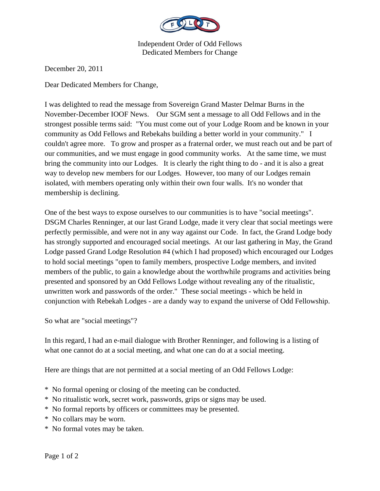

Independent Order of Odd Fellows Dedicated Members for Change

December 20, 2011

Dear Dedicated Members for Change,

I was delighted to read the message from Sovereign Grand Master Delmar Burns in the November-December IOOF News. Our SGM sent a message to all Odd Fellows and in the strongest possible terms said: "You must come out of your Lodge Room and be known in your community as Odd Fellows and Rebekahs building a better world in your community." I couldn't agree more. To grow and prosper as a fraternal order, we must reach out and be part of our communities, and we must engage in good community works. At the same time, we must bring the community into our Lodges. It is clearly the right thing to do - and it is also a great way to develop new members for our Lodges. However, too many of our Lodges remain isolated, with members operating only within their own four walls. It's no wonder that membership is declining.

One of the best ways to expose ourselves to our communities is to have "social meetings". DSGM Charles Renninger, at our last Grand Lodge, made it very clear that social meetings were perfectly permissible, and were not in any way against our Code. In fact, the Grand Lodge body has strongly supported and encouraged social meetings. At our last gathering in May, the Grand Lodge passed Grand Lodge Resolution #4 (which I had proposed) which encouraged our Lodges to hold social meetings "open to family members, prospective Lodge members, and invited members of the public, to gain a knowledge about the worthwhile programs and activities being presented and sponsored by an Odd Fellows Lodge without revealing any of the ritualistic, unwritten work and passwords of the order." These social meetings - which be held in conjunction with Rebekah Lodges - are a dandy way to expand the universe of Odd Fellowship.

So what are "social meetings"?

In this regard, I had an e-mail dialogue with Brother Renninger, and following is a listing of what one cannot do at a social meeting, and what one can do at a social meeting.

Here are things that are not permitted at a social meeting of an Odd Fellows Lodge:

- \* No formal opening or closing of the meeting can be conducted.
- \* No ritualistic work, secret work, passwords, grips or signs may be used.
- \* No formal reports by officers or committees may be presented.
- \* No collars may be worn.
- \* No formal votes may be taken.